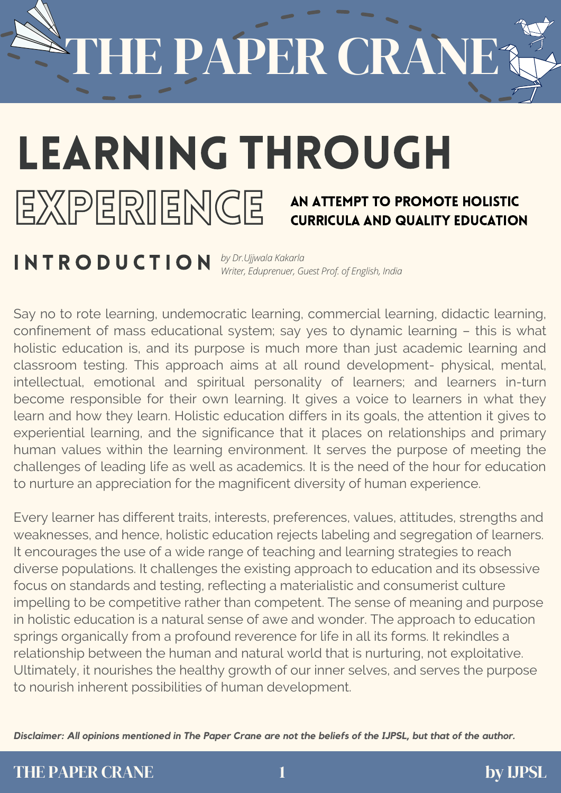IE PAPER CRANE

### LEARNING THROUGH

### EXPERIENCE

#### An Attempt to Promote Holistic Curricula and Quality Education

**INTRODUCTION** *by Dr.Ujjwala Kakarla Writer, Eduprenuer, Guest Prof. of English, India*

Say no to rote learning, undemocratic learning, commercial learning, didactic learning, confinement of mass educational system; say yes to dynamic learning – this is what holistic education is, and its purpose is much more than just academic learning and classroom testing. This approach aims at all round development- physical, mental, intellectual, emotional and spiritual personality of learners; and learners in-turn become responsible for their own learning. It gives a voice to learners in what they learn and how they learn. Holistic education differs in its goals, the attention it gives to experiential learning, and the significance that it places on relationships and primary human values within the learning environment. It serves the purpose of meeting the challenges of leading life as well as academics. It is the need of the hour for education to nurture an appreciation for the magnificent diversity of human experience.

Every learner has different traits, interests, preferences, values, attitudes, strengths and weaknesses, and hence, holistic education rejects labeling and segregation of learners. It encourages the use of a wide range of teaching and learning strategies to reach diverse populations. It challenges the existing approach to education and its obsessive focus on standards and testing, reflecting a materialistic and consumerist culture impelling to be competitive rather than competent. The sense of meaning and purpose in holistic education is a natural sense of awe and wonder. The approach to education springs organically from a profound reverence for life in all its forms. It rekindles a relationship between the human and natural world that is nurturing, not exploitative. Ultimately, it nourishes the healthy growth of our inner selves, and serves the purpose to nourish inherent possibilities of human development.

Disclaimer: All opinions mentioned in The Paper Crane are not the beliefs of the IJPSL, but that of the author.

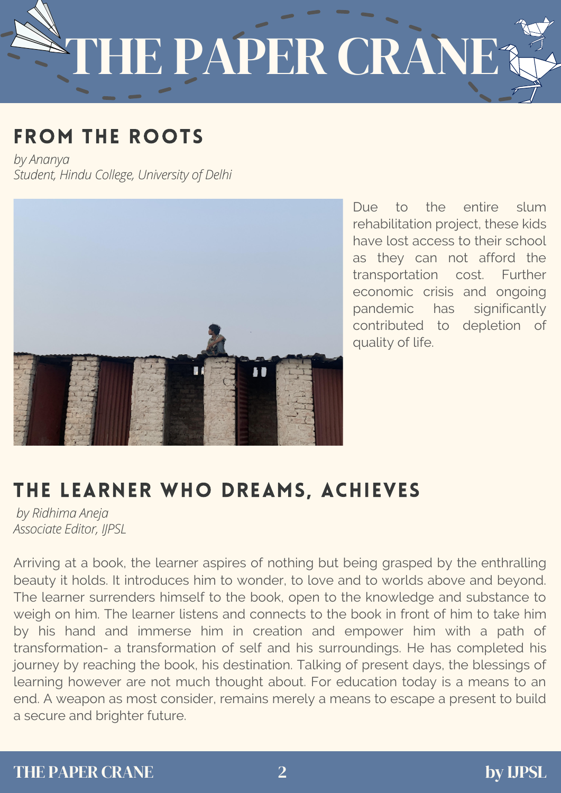## HE PAPER CRÀNE

#### FROM THE ROOTS

*by Ananya Student, Hindu College, University of Delhi*



Due to the entire slum rehabilitation project, these kids have lost access to their school as they can not afford the transportation cost. Further economic crisis and ongoing pandemic has significantly contributed to depletion of quality of life.

#### THE LEARNER WHO DREAMS, ACHIEVES

*by Ridhima Aneja Associate Editor, IJPSL*

Arriving at a book, the learner aspires of nothing but being grasped by the enthralling beauty it holds. It introduces him to wonder, to love and to worlds above and beyond. The learner surrenders himself to the book, open to the knowledge and substance to weigh on him. The learner listens and connects to the book in front of him to take him by his hand and immerse him in creation and empower him with a path of transformation- a transformation of self and his surroundings. He has completed his journey by reaching the book, his destination. Talking of present days, the blessings of learning however are not much thought about. For education today is a means to an end. A weapon as most consider, remains merely a means to escape a present to build a secure and brighter future.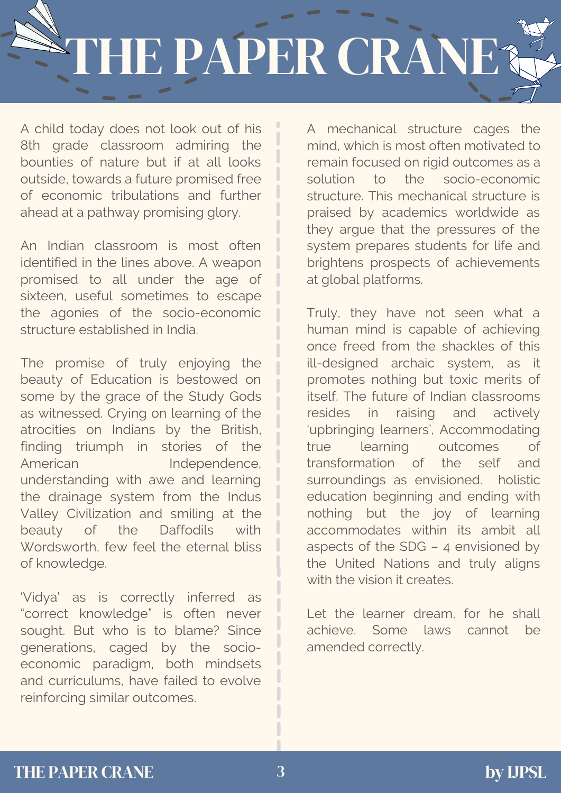### THE PAPER CRANE?

A child today does not look out of his 8th grade classroom admiring the bounties of nature but if at all looks outside, towards a future promised free of economic tribulations and further ahead at a pathway promising glory.

An Indian classroom is most often identified in the lines above. A weapon promised to all under the age of sixteen, useful sometimes to escape the agonies of the socio-economic structure established in India.

The promise of truly enjoying the beauty of Education is bestowed on some by the grace of the Study Gods as witnessed. Crying on learning of the atrocities on Indians by the British, finding triumph in stories of the American Independence, understanding with awe and learning the drainage system from the Indus Valley Civilization and smiling at the beauty of the Daffodils with Wordsworth, few feel the eternal bliss of knowledge.

'Vidya' as is correctly inferred as "correct knowledge" is often never sought. But who is to blame? Since generations, caged by the socioeconomic paradigm, both mindsets and curriculums, have failed to evolve reinforcing similar outcomes.

A mechanical structure cages the mind, which is most often motivated to remain focused on rigid outcomes as a solution to the socio-economic structure. This mechanical structure is praised by academics worldwide as they argue that the pressures of the system prepares students for life and brightens prospects of achievements at global platforms.

Truly, they have not seen what a human mind is capable of achieving once freed from the shackles of this ill-designed archaic system, as it promotes nothing but toxic merits of itself. The future of Indian classrooms resides in raising and actively 'upbringing learners', Accommodating true learning outcomes of transformation of the self and surroundings as envisioned. holistic education beginning and ending with nothing but the joy of learning accommodates within its ambit all aspects of the SDG – 4 envisioned by the United Nations and truly aligns with the vision it creates.

Let the learner dream, for he shall achieve. Some laws cannot be amended correctly.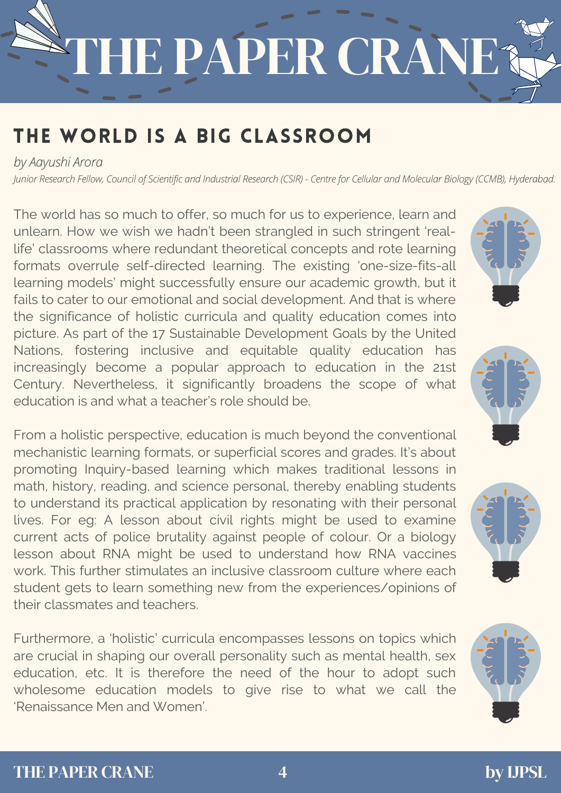# HE PAPER CRANE?

#### THE WORLD IS A BIG CLASSROOM

*by Aayushi Arora*

Junior Research Fellow, Council of Scientific and Industrial Research (CSIR) - Centre for Cellular and Molecular Biology (CCMB), Hyderabad.

The world has so much to offer, so much for us to experience, learn and unlearn. How we wish we hadn't been strangled in such stringent 'reallife' classrooms where redundant theoretical concepts and rote learning formats overrule self-directed learning. The existing 'one-size-fits-all learning models' might successfully ensure our academic growth, but it fails to cater to our emotional and social development. And that is where the significance of holistic curricula and quality education comes into picture. As part of the 17 Sustainable Development Goals by the United Nations, fostering inclusive and equitable quality education has increasingly become a popular approach to education in the 21st Century. [Nevertheless,](https://helpfulprofessor.com/21st-century-learning/) it significantly broadens the scope of what education is and what a teacher's role should be.

From a holistic perspective, education is much beyond the conventional mechanistic learning formats, or superficial scores and grades. It's about promoting Inquiry-based learning which makes traditional lessons in math, history, reading, and science personal, thereby enabling students to understand its practical application by resonating with their personal lives. For eg: A lesson about civil rights might be used to examine current acts of police brutality against people of colour. Or a biology lesson about RNA might be used to understand how RNA vaccines work. This further stimulates an inclusive classroom culture where each student gets to learn something new from the experiences/opinions of their classmates and teachers.

Furthermore, a 'holistic' curricula encompasses lessons on topics which are crucial in shaping our overall personality such as mental health, sex education, etc. It is therefore the need of the hour to adopt such wholesome education models to give rise to what we call the 'Renaissance Men and Women'.







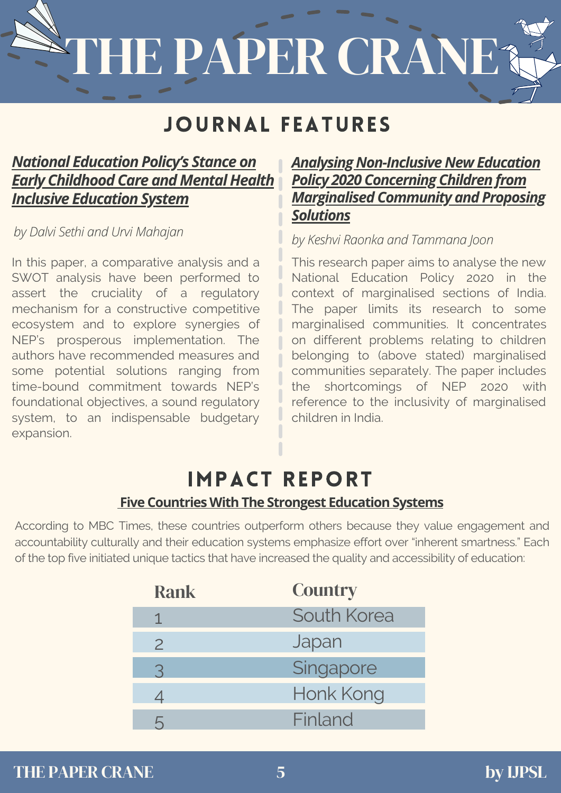# THE PAPER CRANE?

#### JOURNAL FEATURES

#### *National Education Policy's Stance on Early [Childhood](http://ijpsl.in/wp-content/uploads/2021/04/National-Education-Policys-Stance-on-Early-Childhood-Care-and-Mental-Health-Inclusive-Education-System_Dalvi-SethiUrvi-Mahajan-1.pdf) Care and Mental Health Inclusive Education System*

In this paper, a comparative analysis and a SWOT analysis have been performed to assert the cruciality of a regulatory mechanism for a constructive competitive ecosystem and to explore synergies of NEP's prosperous implementation. The authors have recommended measures and some potential solutions ranging from time-bound commitment towards NEP's foundational objectives, a sound regulatory system, to an indispensable budgetary expansion.

#### *Analysing [Non-Inclusive](https://ijpsl.in/wp-content/uploads/2020/12/Analysing-Non-Inclusive-NEP-2020-Concerning-Children-from-Marginalised-Community-and-Proposing-Solutions_Keshvi-Raonka-Tammana-Joon.pdf) New Education Policy 2020 Concerning Children from Marginalised Community and Proposing Solutions*

*by Dalvi Sethi and Urvi Mahajan by Keshvi Raonka and Tammana Joon*

This research paper aims to analyse the new National Education Policy 2020 in the context of marginalised sections of India. The paper limits its research to some marginalised communities. It concentrates on different problems relating to children belonging to (above stated) marginalised communities separately. The paper includes the shortcomings of NEP 2020 with reference to the inclusivity of marginalised children in India.

#### IMPACT REPORT **Five Countries With The Strongest [Education](https://borgenproject.org/strongest-education-systems/) Systems**

According to MBC Times, these countries outperform others because they value engagement and accountability culturally and their education systems emphasize effort over "inherent smartness." Each of the top five initiated unique tactics that have increased the quality and accessibility of education:

| <b>Country</b><br><b>Rank</b>         |  |
|---------------------------------------|--|
| South Korea                           |  |
| Japan<br>$\overline{2}$               |  |
| Singapore<br>3                        |  |
| Honk Kong<br>$\overline{\mathcal{A}}$ |  |
| Finland<br>h                          |  |